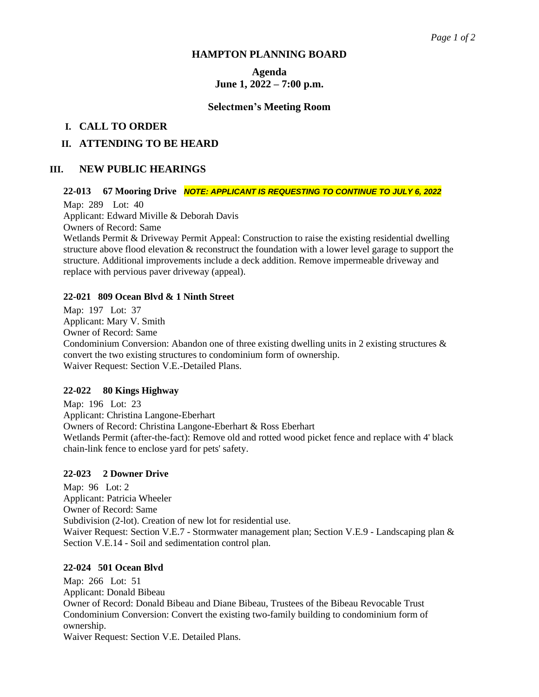### **HAMPTON PLANNING BOARD**

# **Agenda June 1, 2022 – 7:00 p.m.**

### **Selectmen's Meeting Room**

# **I. CALL TO ORDER**

# **II. ATTENDING TO BE HEARD**

# **III. NEW PUBLIC HEARINGS**

# **22-013 67 Mooring Drive** *NOTE: APPLICANT IS REQUESTING TO CONTINUE TO JULY 6, 2022*

Map: 289 Lot: 40 Applicant: Edward Miville & Deborah Davis Owners of Record: Same

Wetlands Permit & Driveway Permit Appeal: Construction to raise the existing residential dwelling structure above flood elevation & reconstruct the foundation with a lower level garage to support the structure. Additional improvements include a deck addition. Remove impermeable driveway and replace with pervious paver driveway (appeal).

### **22-021 809 Ocean Blvd & 1 Ninth Street**

Map: 197 Lot: 37 Applicant: Mary V. Smith Owner of Record: Same Condominium Conversion: Abandon one of three existing dwelling units in 2 existing structures & convert the two existing structures to condominium form of ownership. Waiver Request: Section V.E.-Detailed Plans.

### **22-022 80 Kings Highway**

Map: 196 Lot: 23 Applicant: Christina Langone-Eberhart Owners of Record: Christina Langone-Eberhart & Ross Eberhart Wetlands Permit (after-the-fact): Remove old and rotted wood picket fence and replace with 4' black chain-link fence to enclose yard for pets' safety.

### **22-023 2 Downer Drive**

Map: 96 Lot: 2 Applicant: Patricia Wheeler Owner of Record: Same Subdivision (2-lot). Creation of new lot for residential use. Waiver Request: Section V.E.7 - Stormwater management plan; Section V.E.9 - Landscaping plan & Section V.E.14 - Soil and sedimentation control plan.

### **22-024 501 Ocean Blvd**

Map: 266 Lot: 51 Applicant: Donald Bibeau Owner of Record: Donald Bibeau and Diane Bibeau, Trustees of the Bibeau Revocable Trust Condominium Conversion: Convert the existing two-family building to condominium form of ownership.

Waiver Request: Section V.E. Detailed Plans.